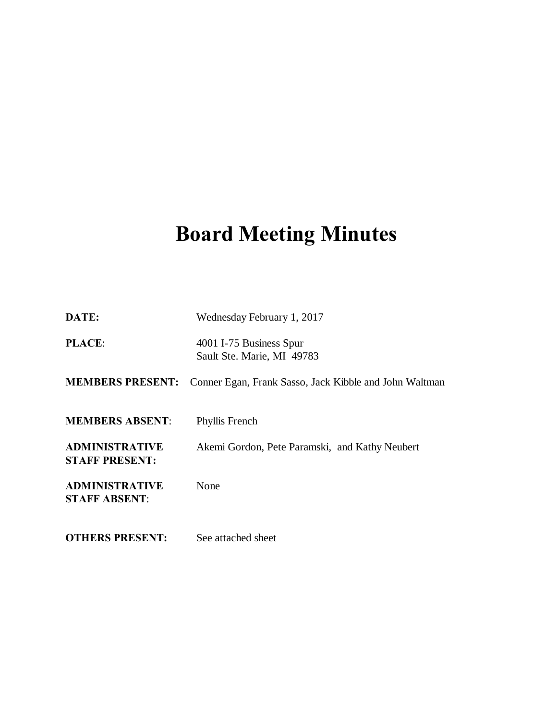# **Board Meeting Minutes**

| DATE:                                          | Wednesday February 1, 2017                             |
|------------------------------------------------|--------------------------------------------------------|
| <b>PLACE:</b>                                  | 4001 I-75 Business Spur<br>Sault Ste. Marie, MI 49783  |
| <b>MEMBERS PRESENT:</b>                        | Conner Egan, Frank Sasso, Jack Kibble and John Waltman |
| <b>MEMBERS ABSENT:</b>                         | Phyllis French                                         |
| <b>ADMINISTRATIVE</b><br><b>STAFF PRESENT:</b> | Akemi Gordon, Pete Paramski, and Kathy Neubert         |
| <b>ADMINISTRATIVE</b><br><b>STAFF ABSENT:</b>  | None                                                   |
| <b>OTHERS PRESENT:</b>                         | See attached sheet                                     |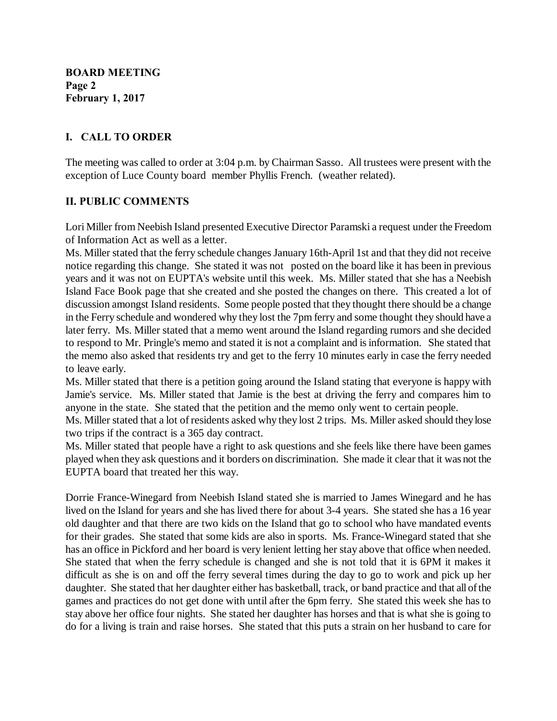**BOARD MEETING Page 2 February 1, 2017**

## **I. CALL TO ORDER**

The meeting was called to order at 3:04 p.m. by Chairman Sasso. All trustees were present with the exception of Luce County board member Phyllis French. (weather related).

## **II. PUBLIC COMMENTS**

Lori Miller from Neebish Island presented Executive Director Paramski a request under the Freedom of Information Act as well as a letter.

Ms. Miller stated that the ferry schedule changes January 16th-April 1st and that they did not receive notice regarding this change. She stated it was not posted on the board like it has been in previous years and it was not on EUPTA's website until this week. Ms. Miller stated that she has a Neebish Island Face Book page that she created and she posted the changes on there. This created a lot of discussion amongst Island residents. Some people posted that they thought there should be a change in the Ferry schedule and wondered why they lost the 7pm ferry and some thought they should have a later ferry. Ms. Miller stated that a memo went around the Island regarding rumors and she decided to respond to Mr. Pringle's memo and stated it is not a complaint and is information. She stated that the memo also asked that residents try and get to the ferry 10 minutes early in case the ferry needed to leave early.

Ms. Miller stated that there is a petition going around the Island stating that everyone is happy with Jamie's service. Ms. Miller stated that Jamie is the best at driving the ferry and compares him to anyone in the state. She stated that the petition and the memo only went to certain people.

Ms. Miller stated that a lot of residents asked why they lost 2 trips. Ms. Miller asked should they lose two trips if the contract is a 365 day contract.

Ms. Miller stated that people have a right to ask questions and she feels like there have been games played when they ask questions and it borders on discrimination. She made it clear that it was not the EUPTA board that treated her this way.

Dorrie France-Winegard from Neebish Island stated she is married to James Winegard and he has lived on the Island for years and she has lived there for about 3-4 years. She stated she has a 16 year old daughter and that there are two kids on the Island that go to school who have mandated events for their grades. She stated that some kids are also in sports. Ms. France-Winegard stated that she has an office in Pickford and her board is very lenient letting her stay above that office when needed. She stated that when the ferry schedule is changed and she is not told that it is 6PM it makes it difficult as she is on and off the ferry several times during the day to go to work and pick up her daughter. She stated that her daughter either has basketball, track, or band practice and that all of the games and practices do not get done with until after the 6pm ferry. She stated this week she has to stay above her office four nights. She stated her daughter has horses and that is what she is going to do for a living is train and raise horses. She stated that this puts a strain on her husband to care for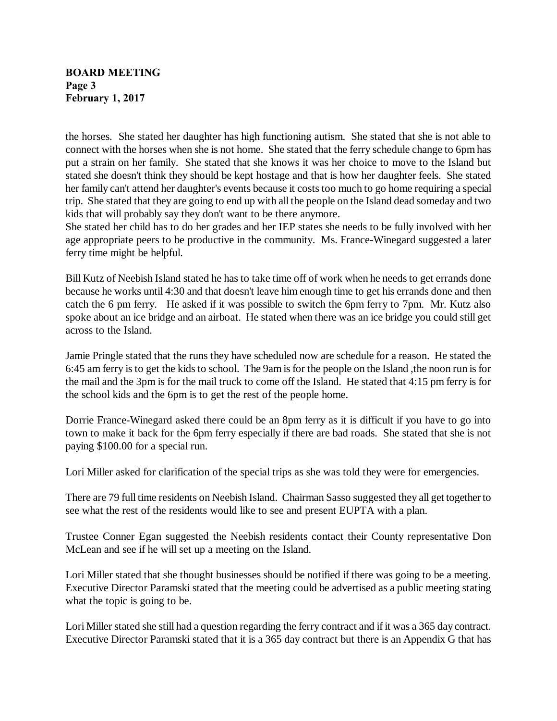#### **BOARD MEETING Page 3 February 1, 2017**

the horses. She stated her daughter has high functioning autism. She stated that she is not able to connect with the horses when she is not home. She stated that the ferry schedule change to 6pm has put a strain on her family. She stated that she knows it was her choice to move to the Island but stated she doesn't think they should be kept hostage and that is how her daughter feels. She stated her family can't attend her daughter's events because it costs too much to go home requiring a special trip. She stated that they are going to end up with all the people on the Island dead someday and two kids that will probably say they don't want to be there anymore.

She stated her child has to do her grades and her IEP states she needs to be fully involved with her age appropriate peers to be productive in the community. Ms. France-Winegard suggested a later ferry time might be helpful.

Bill Kutz of Neebish Island stated he has to take time off of work when he needs to get errands done because he works until 4:30 and that doesn't leave him enough time to get his errands done and then catch the 6 pm ferry. He asked if it was possible to switch the 6pm ferry to 7pm. Mr. Kutz also spoke about an ice bridge and an airboat. He stated when there was an ice bridge you could still get across to the Island.

Jamie Pringle stated that the runs they have scheduled now are schedule for a reason. He stated the 6:45 am ferry is to get the kids to school. The 9am is for the people on the Island ,the noon run is for the mail and the 3pm is for the mail truck to come off the Island. He stated that 4:15 pm ferry is for the school kids and the 6pm is to get the rest of the people home.

Dorrie France-Winegard asked there could be an 8pm ferry as it is difficult if you have to go into town to make it back for the 6pm ferry especially if there are bad roads. She stated that she is not paying \$100.00 for a special run.

Lori Miller asked for clarification of the special trips as she was told they were for emergencies.

There are 79 full time residents on Neebish Island. Chairman Sasso suggested they all get together to see what the rest of the residents would like to see and present EUPTA with a plan.

Trustee Conner Egan suggested the Neebish residents contact their County representative Don McLean and see if he will set up a meeting on the Island.

Lori Miller stated that she thought businesses should be notified if there was going to be a meeting. Executive Director Paramski stated that the meeting could be advertised as a public meeting stating what the topic is going to be.

Lori Miller stated she still had a question regarding the ferry contract and if it was a 365 day contract. Executive Director Paramski stated that it is a 365 day contract but there is an Appendix G that has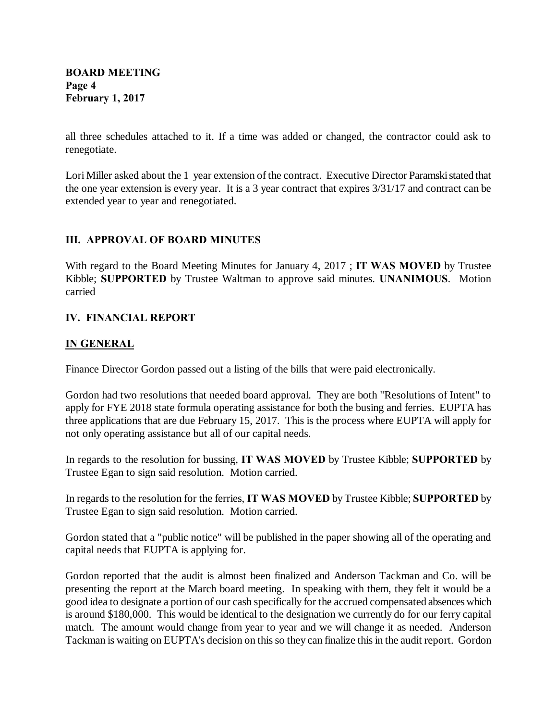all three schedules attached to it. If a time was added or changed, the contractor could ask to renegotiate.

Lori Miller asked about the 1 year extension of the contract. Executive Director Paramski stated that the one year extension is every year. It is a 3 year contract that expires 3/31/17 and contract can be extended year to year and renegotiated.

## **III. APPROVAL OF BOARD MINUTES**

With regard to the Board Meeting Minutes for January 4, 2017 ; **IT WAS MOVED** by Trustee Kibble; **SUPPORTED** by Trustee Waltman to approve said minutes. **UNANIMOUS**. Motion carried

## **IV. FINANCIAL REPORT**

## **IN GENERAL**

Finance Director Gordon passed out a listing of the bills that were paid electronically.

Gordon had two resolutions that needed board approval. They are both "Resolutions of Intent" to apply for FYE 2018 state formula operating assistance for both the busing and ferries. EUPTA has three applications that are due February 15, 2017. This is the process where EUPTA will apply for not only operating assistance but all of our capital needs.

In regards to the resolution for bussing, **IT WAS MOVED** by Trustee Kibble; **SUPPORTED** by Trustee Egan to sign said resolution. Motion carried.

In regards to the resolution for the ferries, **IT WAS MOVED** by Trustee Kibble; **SUPPORTED** by Trustee Egan to sign said resolution. Motion carried.

Gordon stated that a "public notice" will be published in the paper showing all of the operating and capital needs that EUPTA is applying for.

Gordon reported that the audit is almost been finalized and Anderson Tackman and Co. will be presenting the report at the March board meeting. In speaking with them, they felt it would be a good idea to designate a portion of our cash specifically for the accrued compensated absences which is around \$180,000. This would be identical to the designation we currently do for our ferry capital match. The amount would change from year to year and we will change it as needed. Anderson Tackman is waiting on EUPTA's decision on this so they can finalize this in the audit report. Gordon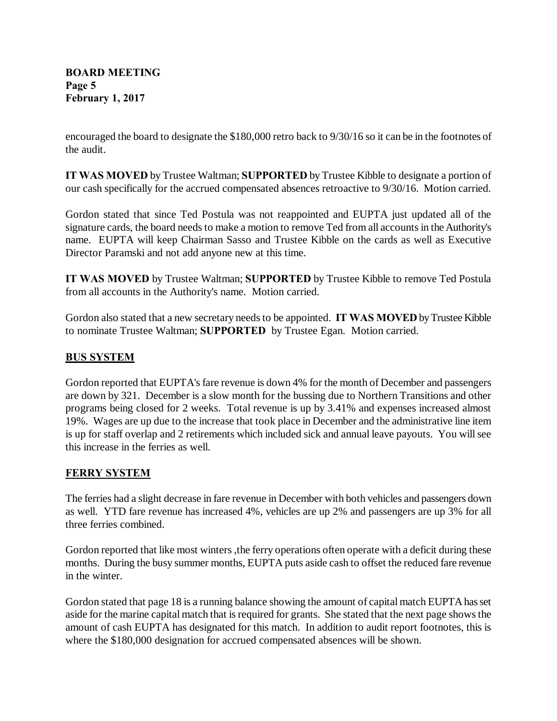encouraged the board to designate the \$180,000 retro back to 9/30/16 so it can be in the footnotes of the audit.

**IT WAS MOVED** by Trustee Waltman; **SUPPORTED** by Trustee Kibble to designate a portion of our cash specifically for the accrued compensated absences retroactive to 9/30/16. Motion carried.

Gordon stated that since Ted Postula was not reappointed and EUPTA just updated all of the signature cards, the board needs to make a motion to remove Ted from all accounts in the Authority's name. EUPTA will keep Chairman Sasso and Trustee Kibble on the cards as well as Executive Director Paramski and not add anyone new at this time.

**IT WAS MOVED** by Trustee Waltman; **SUPPORTED** by Trustee Kibble to remove Ted Postula from all accounts in the Authority's name. Motion carried.

Gordon also stated that a new secretary needs to be appointed. **IT WAS MOVED** byTrustee Kibble to nominate Trustee Waltman; **SUPPORTED** by Trustee Egan. Motion carried.

# **BUS SYSTEM**

Gordon reported that EUPTA's fare revenue is down 4% for the month of December and passengers are down by 321. December is a slow month for the bussing due to Northern Transitions and other programs being closed for 2 weeks. Total revenue is up by 3.41% and expenses increased almost 19%. Wages are up due to the increase that took place in December and the administrative line item is up for staff overlap and 2 retirements which included sick and annual leave payouts. You will see this increase in the ferries as well.

## **FERRY SYSTEM**

The ferries had a slight decrease in fare revenue in December with both vehicles and passengers down as well. YTD fare revenue has increased 4%, vehicles are up 2% and passengers are up 3% for all three ferries combined.

Gordon reported that like most winters, the ferry operations often operate with a deficit during these months. During the busy summer months, EUPTA puts aside cash to offset the reduced fare revenue in the winter.

Gordon stated that page 18 is a running balance showing the amount of capital match EUPTA has set aside for the marine capital match that is required for grants. She stated that the next page shows the amount of cash EUPTA has designated for this match. In addition to audit report footnotes, this is where the \$180,000 designation for accrued compensated absences will be shown.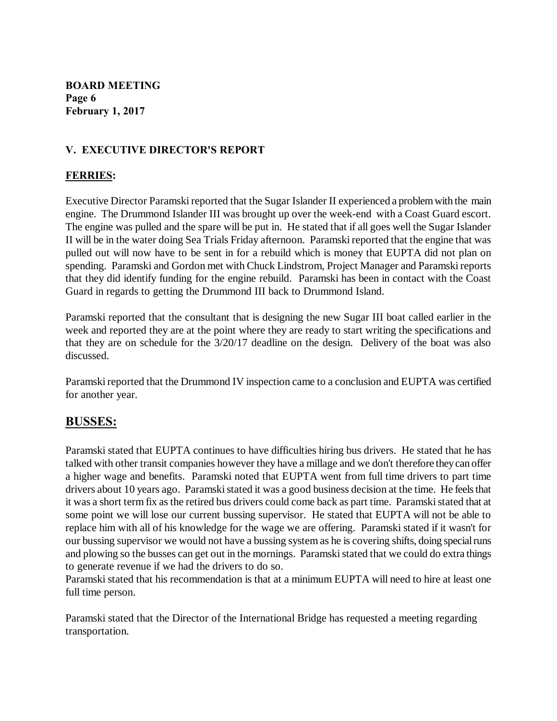**BOARD MEETING Page 6 February 1, 2017**

# **V. EXECUTIVE DIRECTOR'S REPORT**

### **FERRIES:**

Executive Director Paramski reported that the Sugar Islander II experienced a problem with the main engine. The Drummond Islander III was brought up over the week-end with a Coast Guard escort. The engine was pulled and the spare will be put in. He stated that if all goes well the Sugar Islander II will be in the water doing Sea Trials Friday afternoon. Paramski reported that the engine that was pulled out will now have to be sent in for a rebuild which is money that EUPTA did not plan on spending. Paramski and Gordon met with Chuck Lindstrom, Project Manager and Paramski reports that they did identify funding for the engine rebuild. Paramski has been in contact with the Coast Guard in regards to getting the Drummond III back to Drummond Island.

Paramski reported that the consultant that is designing the new Sugar III boat called earlier in the week and reported they are at the point where they are ready to start writing the specifications and that they are on schedule for the 3/20/17 deadline on the design. Delivery of the boat was also discussed.

Paramski reported that the Drummond IV inspection came to a conclusion and EUPTA was certified for another year.

# **BUSSES:**

Paramski stated that EUPTA continues to have difficulties hiring bus drivers. He stated that he has talked with other transit companies however they have a millage and we don't therefore they can offer a higher wage and benefits. Paramski noted that EUPTA went from full time drivers to part time drivers about 10 years ago. Paramski stated it was a good business decision at the time. He feels that it was a short term fix as the retired bus drivers could come back as part time. Paramski stated that at some point we will lose our current bussing supervisor. He stated that EUPTA will not be able to replace him with all of his knowledge for the wage we are offering. Paramski stated if it wasn't for our bussing supervisor we would not have a bussing system as he is covering shifts, doing special runs and plowing so the busses can get out in the mornings. Paramski stated that we could do extra things to generate revenue if we had the drivers to do so.

Paramski stated that his recommendation is that at a minimum EUPTA will need to hire at least one full time person.

Paramski stated that the Director of the International Bridge has requested a meeting regarding transportation.